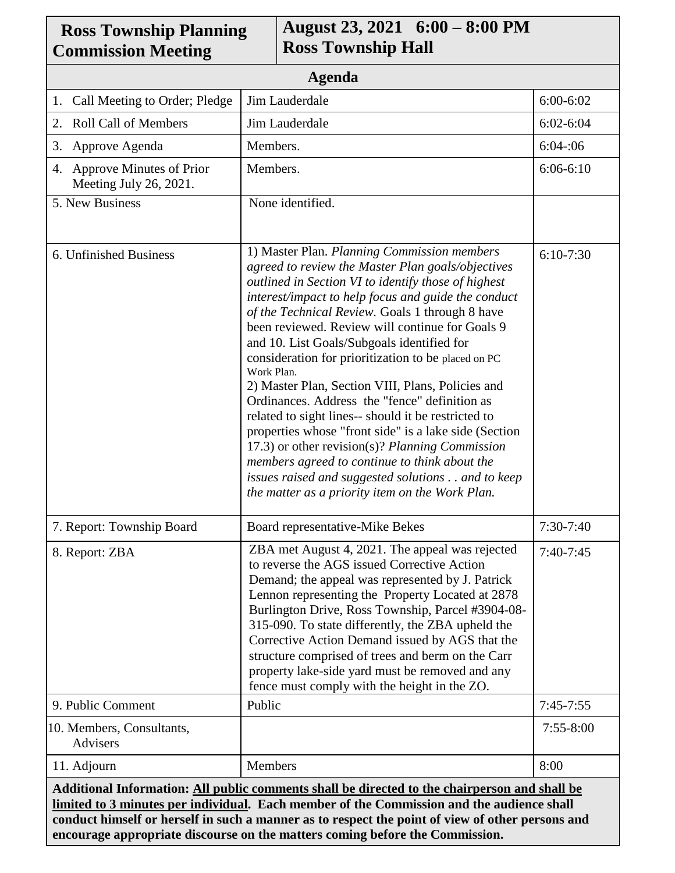| <b>Ross Township Planning</b><br><b>Commission Meeting</b>                                    |                                                                                                                                                                                                                                                                                                                                                                                                                                                                                                                                                                                                                                                                                                                                                                                                                                                                           | August 23, 2021 6:00 – 8:00 PM<br><b>Ross Township Hall</b>                                                                                                                                                                                                                                                                                                                                                                                                                                                                 |               |
|-----------------------------------------------------------------------------------------------|---------------------------------------------------------------------------------------------------------------------------------------------------------------------------------------------------------------------------------------------------------------------------------------------------------------------------------------------------------------------------------------------------------------------------------------------------------------------------------------------------------------------------------------------------------------------------------------------------------------------------------------------------------------------------------------------------------------------------------------------------------------------------------------------------------------------------------------------------------------------------|-----------------------------------------------------------------------------------------------------------------------------------------------------------------------------------------------------------------------------------------------------------------------------------------------------------------------------------------------------------------------------------------------------------------------------------------------------------------------------------------------------------------------------|---------------|
| <b>Agenda</b>                                                                                 |                                                                                                                                                                                                                                                                                                                                                                                                                                                                                                                                                                                                                                                                                                                                                                                                                                                                           |                                                                                                                                                                                                                                                                                                                                                                                                                                                                                                                             |               |
| Call Meeting to Order; Pledge<br>1.                                                           | Jim Lauderdale                                                                                                                                                                                                                                                                                                                                                                                                                                                                                                                                                                                                                                                                                                                                                                                                                                                            |                                                                                                                                                                                                                                                                                                                                                                                                                                                                                                                             | 6:00-6:02     |
| 2. Roll Call of Members                                                                       | Jim Lauderdale                                                                                                                                                                                                                                                                                                                                                                                                                                                                                                                                                                                                                                                                                                                                                                                                                                                            |                                                                                                                                                                                                                                                                                                                                                                                                                                                                                                                             | $6:02 - 6:04$ |
| Approve Agenda<br>3.                                                                          | Members.                                                                                                                                                                                                                                                                                                                                                                                                                                                                                                                                                                                                                                                                                                                                                                                                                                                                  |                                                                                                                                                                                                                                                                                                                                                                                                                                                                                                                             | 6:04:06       |
| 4. Approve Minutes of Prior<br>Meeting July 26, 2021.                                         | Members.                                                                                                                                                                                                                                                                                                                                                                                                                                                                                                                                                                                                                                                                                                                                                                                                                                                                  |                                                                                                                                                                                                                                                                                                                                                                                                                                                                                                                             | $6:06-6:10$   |
| 5. New Business                                                                               | None identified.                                                                                                                                                                                                                                                                                                                                                                                                                                                                                                                                                                                                                                                                                                                                                                                                                                                          |                                                                                                                                                                                                                                                                                                                                                                                                                                                                                                                             |               |
| 6. Unfinished Business                                                                        | 1) Master Plan. Planning Commission members<br>agreed to review the Master Plan goals/objectives<br>outlined in Section VI to identify those of highest<br>interest/impact to help focus and guide the conduct<br>of the Technical Review. Goals 1 through 8 have<br>been reviewed. Review will continue for Goals 9<br>and 10. List Goals/Subgoals identified for<br>consideration for prioritization to be placed on PC<br>Work Plan.<br>2) Master Plan, Section VIII, Plans, Policies and<br>Ordinances. Address the "fence" definition as<br>related to sight lines-- should it be restricted to<br>properties whose "front side" is a lake side (Section<br>17.3) or other revision(s)? Planning Commission<br>members agreed to continue to think about the<br>issues raised and suggested solutions and to keep<br>the matter as a priority item on the Work Plan. |                                                                                                                                                                                                                                                                                                                                                                                                                                                                                                                             | $6:10-7:30$   |
| 7. Report: Township Board                                                                     | Board representative-Mike Bekes                                                                                                                                                                                                                                                                                                                                                                                                                                                                                                                                                                                                                                                                                                                                                                                                                                           |                                                                                                                                                                                                                                                                                                                                                                                                                                                                                                                             | $7:30-7:40$   |
| 8. Report: ZBA                                                                                |                                                                                                                                                                                                                                                                                                                                                                                                                                                                                                                                                                                                                                                                                                                                                                                                                                                                           | ZBA met August 4, 2021. The appeal was rejected<br>to reverse the AGS issued Corrective Action<br>Demand; the appeal was represented by J. Patrick<br>Lennon representing the Property Located at 2878<br>Burlington Drive, Ross Township, Parcel #3904-08-<br>315-090. To state differently, the ZBA upheld the<br>Corrective Action Demand issued by AGS that the<br>structure comprised of trees and berm on the Carr<br>property lake-side yard must be removed and any<br>fence must comply with the height in the ZO. | $7:40-7:45$   |
| 9. Public Comment                                                                             | Public                                                                                                                                                                                                                                                                                                                                                                                                                                                                                                                                                                                                                                                                                                                                                                                                                                                                    |                                                                                                                                                                                                                                                                                                                                                                                                                                                                                                                             | $7:45-7:55$   |
| 10. Members, Consultants,<br><b>Advisers</b>                                                  |                                                                                                                                                                                                                                                                                                                                                                                                                                                                                                                                                                                                                                                                                                                                                                                                                                                                           |                                                                                                                                                                                                                                                                                                                                                                                                                                                                                                                             | $7:55 - 8:00$ |
| 11. Adjourn                                                                                   | Members                                                                                                                                                                                                                                                                                                                                                                                                                                                                                                                                                                                                                                                                                                                                                                                                                                                                   |                                                                                                                                                                                                                                                                                                                                                                                                                                                                                                                             | 8:00          |
| Additional Information: All public comments shall be directed to the chairperson and shall be |                                                                                                                                                                                                                                                                                                                                                                                                                                                                                                                                                                                                                                                                                                                                                                                                                                                                           |                                                                                                                                                                                                                                                                                                                                                                                                                                                                                                                             |               |

┑

**limited to 3 minutes per individual. Each member of the Commission and the audience shall conduct himself or herself in such a manner as to respect the point of view of other persons and encourage appropriate discourse on the matters coming before the Commission.**